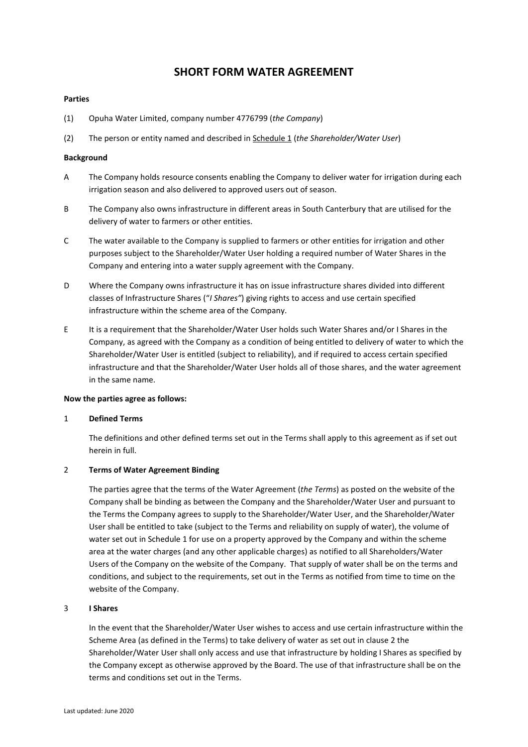## **SHORT FORM WATER AGREEMENT**

#### **Parties**

- (1) Opuha Water Limited, company number 4776799 (*the Company*)
- (2) The person or entity named and described in Schedule 1 (*the Shareholder/Water User*)

#### **Background**

- A The Company holds resource consents enabling the Company to deliver water for irrigation during each irrigation season and also delivered to approved users out of season.
- B The Company also owns infrastructure in different areas in South Canterbury that are utilised for the delivery of water to farmers or other entities.
- C The water available to the Company is supplied to farmers or other entities for irrigation and other purposes subject to the Shareholder/Water User holding a required number of Water Shares in the Company and entering into a water supply agreement with the Company.
- D Where the Company owns infrastructure it has on issue infrastructure shares divided into different classes of Infrastructure Shares ("*I Shares"*) giving rights to access and use certain specified infrastructure within the scheme area of the Company.
- E It is a requirement that the Shareholder/Water User holds such Water Shares and/or I Shares in the Company, as agreed with the Company as a condition of being entitled to delivery of water to which the Shareholder/Water User is entitled (subject to reliability), and if required to access certain specified infrastructure and that the Shareholder/Water User holds all of those shares, and the water agreement in the same name.

#### **Now the parties agree as follows:**

#### 1 **Defined Terms**

The definitions and other defined terms set out in the Terms shall apply to this agreement as if set out herein in full.

#### 2 **Terms of Water Agreement Binding**

The parties agree that the terms of the Water Agreement (*the Terms*) as posted on the website of the Company shall be binding as between the Company and the Shareholder/Water User and pursuant to the Terms the Company agrees to supply to the Shareholder/Water User, and the Shareholder/Water User shall be entitled to take (subject to the Terms and reliability on supply of water), the volume of water set out in Schedule 1 for use on a property approved by the Company and within the scheme area at the water charges (and any other applicable charges) as notified to all Shareholders/Water Users of the Company on the website of the Company. That supply of water shall be on the terms and conditions, and subject to the requirements, set out in the Terms as notified from time to time on the website of the Company.

### 3 **I Shares**

In the event that the Shareholder/Water User wishes to access and use certain infrastructure within the Scheme Area (as defined in the Terms) to take delivery of water as set out in clause 2 the Shareholder/Water User shall only access and use that infrastructure by holding I Shares as specified by the Company except as otherwise approved by the Board. The use of that infrastructure shall be on the terms and conditions set out in the Terms.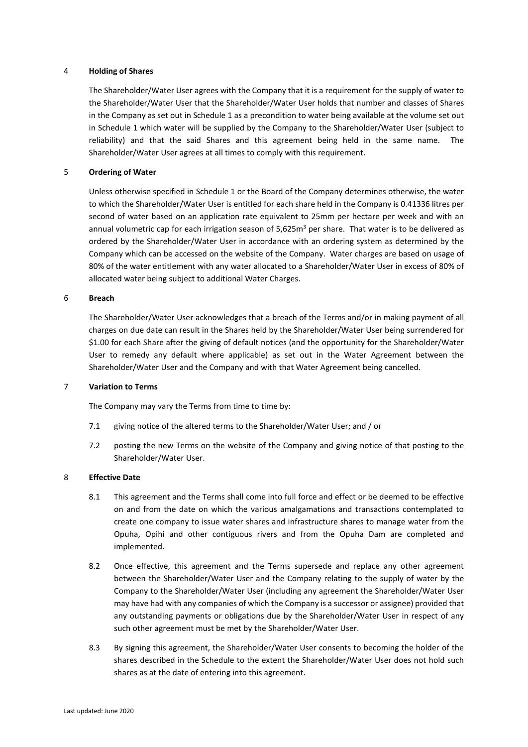#### 4 **Holding of Shares**

The Shareholder/Water User agrees with the Company that it is a requirement for the supply of water to the Shareholder/Water User that the Shareholder/Water User holds that number and classes of Shares in the Company as set out in Schedule 1 as a precondition to water being available at the volume set out in Schedule 1 which water will be supplied by the Company to the Shareholder/Water User (subject to reliability) and that the said Shares and this agreement being held in the same name. The Shareholder/Water User agrees at all times to comply with this requirement.

#### 5 **Ordering of Water**

Unless otherwise specified in Schedule 1 or the Board of the Company determines otherwise, the water to which the Shareholder/Water User is entitled for each share held in the Company is 0.41336 litres per second of water based on an application rate equivalent to 25mm per hectare per week and with an annual volumetric cap for each irrigation season of  $5,625m<sup>3</sup>$  per share. That water is to be delivered as ordered by the Shareholder/Water User in accordance with an ordering system as determined by the Company which can be accessed on the website of the Company. Water charges are based on usage of 80% of the water entitlement with any water allocated to a Shareholder/Water User in excess of 80% of allocated water being subject to additional Water Charges.

#### 6 **Breach**

The Shareholder/Water User acknowledges that a breach of the Terms and/or in making payment of all charges on due date can result in the Shares held by the Shareholder/Water User being surrendered for \$1.00 for each Share after the giving of default notices (and the opportunity for the Shareholder/Water User to remedy any default where applicable) as set out in the Water Agreement between the Shareholder/Water User and the Company and with that Water Agreement being cancelled.

#### 7 **Variation to Terms**

The Company may vary the Terms from time to time by:

- 7.1 giving notice of the altered terms to the Shareholder/Water User; and / or
- 7.2 posting the new Terms on the website of the Company and giving notice of that posting to the Shareholder/Water User.

#### 8 **Effective Date**

- 8.1 This agreement and the Terms shall come into full force and effect or be deemed to be effective on and from the date on which the various amalgamations and transactions contemplated to create one company to issue water shares and infrastructure shares to manage water from the Opuha, Opihi and other contiguous rivers and from the Opuha Dam are completed and implemented.
- 8.2 Once effective, this agreement and the Terms supersede and replace any other agreement between the Shareholder/Water User and the Company relating to the supply of water by the Company to the Shareholder/Water User (including any agreement the Shareholder/Water User may have had with any companies of which the Company is a successor or assignee) provided that any outstanding payments or obligations due by the Shareholder/Water User in respect of any such other agreement must be met by the Shareholder/Water User.
- 8.3 By signing this agreement, the Shareholder/Water User consents to becoming the holder of the shares described in the Schedule to the extent the Shareholder/Water User does not hold such shares as at the date of entering into this agreement.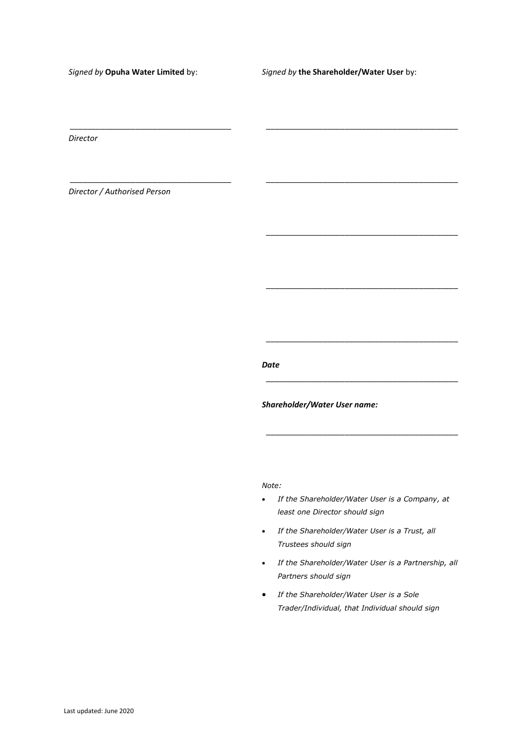*Signed by* **Opuha Water Limited** by:

\_\_\_\_\_\_\_\_\_\_\_\_\_\_\_\_\_\_\_\_\_\_\_\_\_\_\_\_\_\_\_\_\_\_\_\_\_

\_\_\_\_\_\_\_\_\_\_\_\_\_\_\_\_\_\_\_\_\_\_\_\_\_\_\_\_\_\_\_\_\_\_\_\_\_

*Signed by* **the Shareholder/Water User** by:

\_\_\_\_\_\_\_\_\_\_\_\_\_\_\_\_\_\_\_\_\_\_\_\_\_\_\_\_\_\_\_\_\_\_\_\_\_\_\_\_\_\_\_\_

\_\_\_\_\_\_\_\_\_\_\_\_\_\_\_\_\_\_\_\_\_\_\_\_\_\_\_\_\_\_\_\_\_\_\_\_\_\_\_\_\_\_\_\_

\_\_\_\_\_\_\_\_\_\_\_\_\_\_\_\_\_\_\_\_\_\_\_\_\_\_\_\_\_\_\_\_\_\_\_\_\_\_\_\_\_\_\_\_

\_\_\_\_\_\_\_\_\_\_\_\_\_\_\_\_\_\_\_\_\_\_\_\_\_\_\_\_\_\_\_\_\_\_\_\_\_\_\_\_\_\_\_\_

\_\_\_\_\_\_\_\_\_\_\_\_\_\_\_\_\_\_\_\_\_\_\_\_\_\_\_\_\_\_\_\_\_\_\_\_\_\_\_\_\_\_\_\_

\_\_\_\_\_\_\_\_\_\_\_\_\_\_\_\_\_\_\_\_\_\_\_\_\_\_\_\_\_\_\_\_\_\_\_\_\_\_\_\_\_\_\_\_

\_\_\_\_\_\_\_\_\_\_\_\_\_\_\_\_\_\_\_\_\_\_\_\_\_\_\_\_\_\_\_\_\_\_\_\_\_\_\_\_\_\_\_\_

*Director*

*Director / Authorised Person*

*Date*

*Shareholder/Water User name:*

*Note:*

- *If the Shareholder/Water User is a Company, at least one Director should sign*
- *If the Shareholder/Water User is a Trust, all Trustees should sign*
- *If the Shareholder/Water User is a Partnership, all Partners should sign*
- *If the Shareholder/Water User is a Sole Trader/Individual, that Individual should sign*